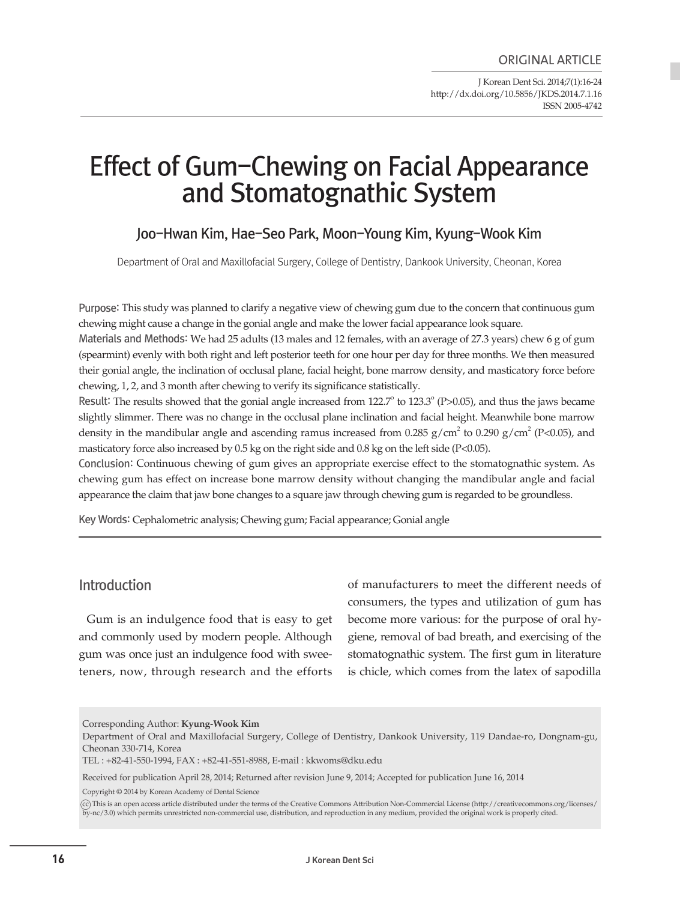J Korean Dent Sci. 2014;7(1):16-24 http://dx.doi.org/10.5856/JKDS.2014.7.1.16 ISSN 2005-4742

# Effect of Gum-Chewing on Facial Appearance and Stomatognathic System

# Joo-Hwan Kim, Hae-Seo Park, Moon-Young Kim, Kyung-Wook Kim

Department of Oral and Maxillofacial Surgery, College of Dentistry, Dankook University, Cheonan, Korea

Purpose: This study was planned to clarify a negative view of chewing gum due to the concern that continuous gum chewing might cause a change in the gonial angle and make the lower facial appearance look square.

Materials and Methods: We had 25 adults (13 males and 12 females, with an average of 27.3 years) chew 6 g of gum (spearmint) evenly with both right and left posterior teeth for one hour per day for three months. We then measured their gonial angle, the inclination of occlusal plane, facial height, bone marrow density, and masticatory force before chewing, 1, 2, and 3 month after chewing to verify its significance statistically.

Result: The results showed that the gonial angle increased from 122.7° to 123.3° (P>0.05), and thus the jaws became slightly slimmer. There was no change in the occlusal plane inclination and facial height. Meanwhile bone marrow density in the mandibular angle and ascending ramus increased from  $0.285$  g/cm<sup>2</sup> to  $0.290$  g/cm<sup>2</sup> (P<0.05), and masticatory force also increased by 0.5 kg on the right side and 0.8 kg on the left side (P<0.05).

Conclusion: Continuous chewing of gum gives an appropriate exercise effect to the stomatognathic system. As chewing gum has effect on increase bone marrow density without changing the mandibular angle and facial appearance the claim that jaw bone changes to a square jaw through chewing gum is regarded to be groundless.

Key Words: Cephalometric analysis; Chewing gum; Facial appearance; Gonial angle

# Introduction

 Gum is an indulgence food that is easy to get and commonly used by modern people. Although gum was once just an indulgence food with sweeteners, now, through research and the efforts of manufacturers to meet the different needs of consumers, the types and utilization of gum has become more various: for the purpose of oral hygiene, removal of bad breath, and exercising of the stomatognathic system. The first gum in literature is chicle, which comes from the latex of sapodilla

Corresponding Author: **Kyung-Wook Kim**

Received for publication April 28, 2014; Returned after revision June 9, 2014; Accepted for publication June 16, 2014

Copyright © 2014 by Korean Academy of Dental Science

cc This is an open access article distributed under the terms of the Creative Commons Attribution Non-Commercial License (http://creativecommons.org/licenses/ by-nc/3.0) which permits unrestricted non-commercial use, distribution, and reproduction in any medium, provided the original work is properly cited.

Department of Oral and Maxillofacial Surgery, College of Dentistry, Dankook University, 119 Dandae-ro, Dongnam-gu, Cheonan 330-714, Korea

TEL : +82-41-550-1994, FAX : +82-41-551-8988, E-mail : kkwoms@dku.edu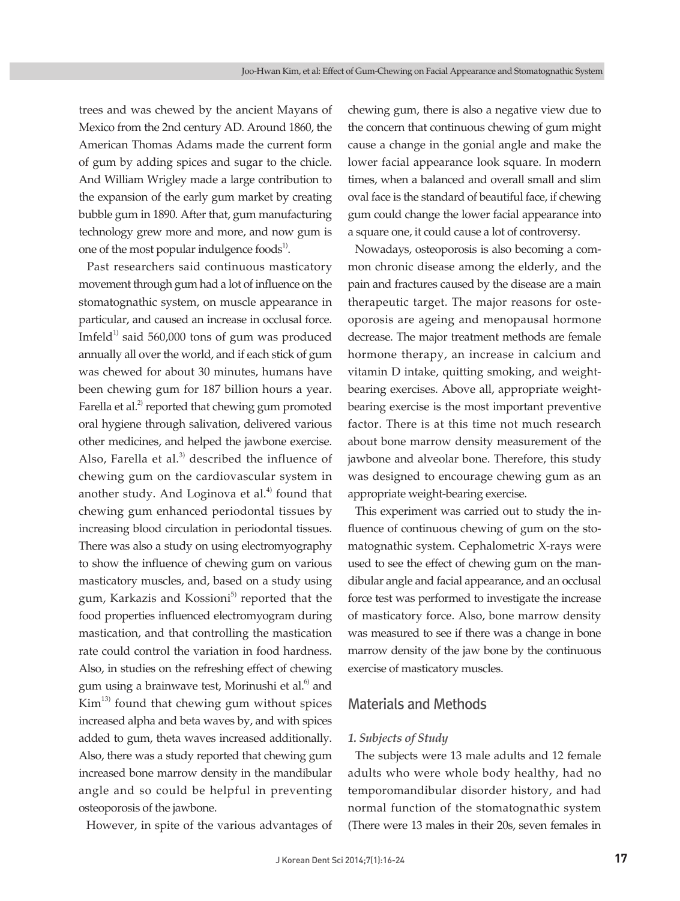trees and was chewed by the ancient Mayans of Mexico from the 2nd century AD. Around 1860, the American Thomas Adams made the current form of gum by adding spices and sugar to the chicle. And William Wrigley made a large contribution to the expansion of the early gum market by creating bubble gum in 1890. After that, gum manufacturing technology grew more and more, and now gum is one of the most popular indulgence foods<sup>1)</sup>.

 Past researchers said continuous masticatory move ment through gum had a lot of influence on the stomatognathic system, on muscle appearance in particular, and caused an increase in occlusal force. Imfeld<sup>1)</sup> said 560,000 tons of gum was produced annually all over the world, and if each stick of gum was chewed for about 30 minutes, humans have been chewing gum for 187 billion hours a year. Farella et al. $^{2}$  reported that chewing gum promoted oral hygiene through salivation, delivered various other medicines, and helped the jawbone exercise. Also, Farella et al.<sup>3)</sup> described the influence of chewing gum on the cardiovascular system in another study. And Loginova et al.<sup>4)</sup> found that chewing gum enhanced periodontal tissues by increasing blood circulation in periodontal tissues. There was also a study on using electromyography to show the influence of chewing gum on various masticatory muscles, and, based on a study using gum, Karkazis and Kossioni<sup>5)</sup> reported that the food properties influenced electromyogram during mastication, and that controlling the mastication rate could control the variation in food hardness. Also, in studies on the refreshing effect of chewing gum using a brainwave test, Morinushi et al. $^{6)}$  and  $Kim<sup>13)</sup>$  found that chewing gum without spices increased alpha and beta waves by, and with spices added to gum, theta waves increased additionally. Also, there was a study reported that chewing gum increased bone marrow density in the mandibular angle and so could be helpful in preventing osteoporosis of the jawbone.

However, in spite of the various advantages of

chewing gum, there is also a negative view due to the concern that continuous chewing of gum might cause a change in the gonial angle and make the lower facial appearance look square. In modern times, when a balanced and overall small and slim oval face is the standard of beautiful face, if chewing gum could change the lower facial appearance into a square one, it could cause a lot of controversy.

 Nowadays, osteoporosis is also becoming a common chronic disease among the elderly, and the pain and fractures caused by the disease are a main therapeutic target. The major reasons for osteoporosis are ageing and menopausal hormone decrease. The major treatment methods are female hormone therapy, an increase in calcium and vitamin D intake, quitting smoking, and weightbearing exercises. Above all, appropriate weightbearing exercise is the most important preventive factor. There is at this time not much research about bone marrow density measurement of the jawbone and alveolar bone. Therefore, this study was designed to encourage chewing gum as an appropriate weight-bearing exercise.

 This experiment was carried out to study the influence of continuous chewing of gum on the stomatognathic system. Cephalometric X-rays were used to see the effect of chewing gum on the mandibular angle and facial appearance, and an occlusal force test was performed to investigate the increase of masticatory force. Also, bone marrow density was measured to see if there was a change in bone marrow density of the jaw bone by the continuous exercise of masticatory muscles.

# Materials and Methods

### *1. Subjects of Study*

 The subjects were 13 male adults and 12 female adults who were whole body healthy, had no temporomandibular disorder history, and had normal function of the stomatognathic system (There were 13 males in their 20s, seven females in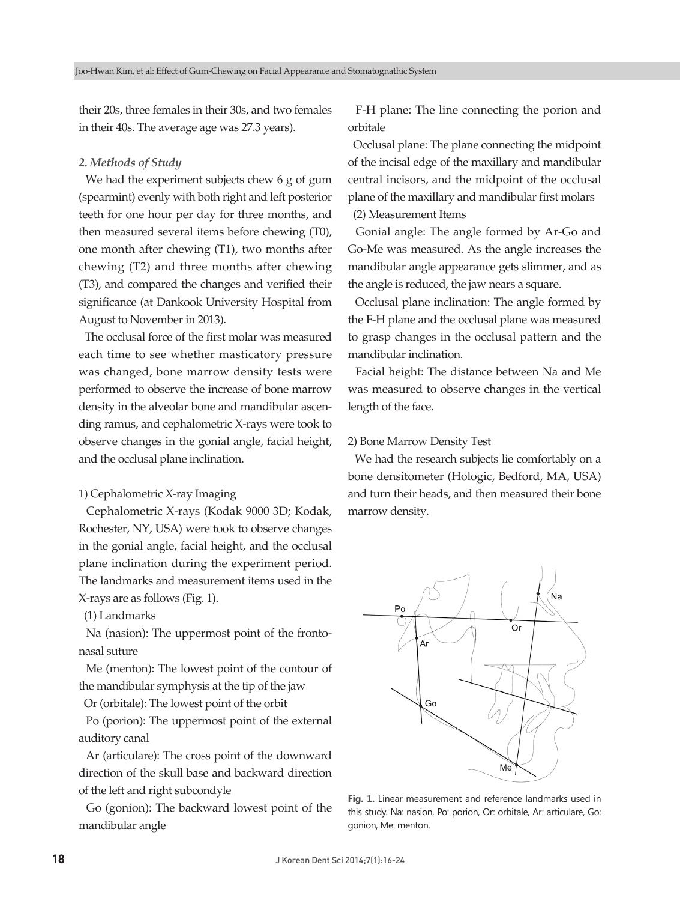their 20s, three females in their 30s, and two females in their 40s. The average age was 27.3 years).

## *2. Methods of Study*

We had the experiment subjects chew 6 g of gum (spearmint) evenly with both right and left posterior teeth for one hour per day for three months, and then measured several items before chewing (T0), one month after chewing (T1), two months after chewing (T2) and three months after chewing (T3), and compared the changes and verified their significance (at Dankook University Hospital from August to November in 2013).

The occlusal force of the first molar was measured each time to see whether masticatory pressure was changed, bone marrow density tests were performed to observe the increase of bone marrow density in the alveolar bone and mandibular ascending ramus, and cephalometric X-rays were took to observe changes in the gonial angle, facial height, and the occlusal plane inclination.

## 1) Cephalometric X-ray Imaging

 Cephalometric X-rays (Kodak 9000 3D; Kodak, Rochester, NY, USA) were took to observe changes in the gonial angle, facial height, and the occlusal plane inclination during the experiment period. The landmarks and measurement items used in the X-rays are as follows (Fig. 1).

(1) Landmarks

 Na (nasion): The uppermost point of the frontonasal suture

 Me (menton): The lowest point of the contour of the mandibular symphysis at the tip of the jaw

Or (orbitale): The lowest point of the orbit

 Po (porion): The uppermost point of the external auditory canal

 Ar (articulare): The cross point of the downward direction of the skull base and backward direction of the left and right subcondyle

 Go (gonion): The backward lowest point of the mandibular angle

 F-H plane: The line connecting the porion and orbitale

 Occlusal plane: The plane connecting the midpoint of the incisal edge of the maxillary and mandibular central incisors, and the midpoint of the occlusal plane of the maxillary and mandibular first molars

(2) Measurement Items

 Gonial angle: The angle formed by Ar-Go and Go-Me was measured. As the angle increases the mandibular angle appearance gets slimmer, and as the angle is reduced, the jaw nears a square.

 Occlusal plane inclination: The angle formed by the F-H plane and the occlusal plane was measured to grasp changes in the occlusal pattern and the mandibular inclination.

 Facial height: The distance between Na and Me was measured to observe changes in the vertical length of the face.

#### 2) Bone Marrow Density Test

 We had the research subjects lie comfortably on a bone densitometer (Hologic, Bedford, MA, USA) and turn their heads, and then measured their bone marrow density.



**Fig. 1.** Linear measurement and reference landmarks used in this study. Na: nasion, Po: porion, Or: orbitale, Ar: articulare, Go: gonion, Me: menton.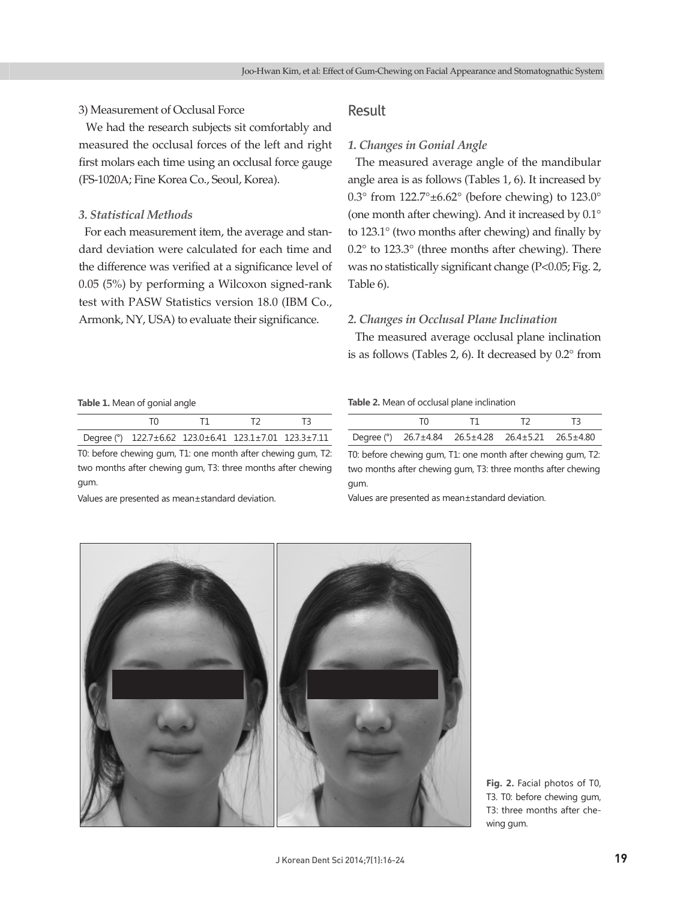## 3) Measurement of Occlusal Force

 We had the research subjects sit comfortably and measured the occlusal forces of the left and right first molars each time using an occlusal force gauge (FS-1020A; Fine Korea Co., Seoul, Korea).

## *3. Statistical Methods*

 For each measurement item, the average and standard deviation were calculated for each time and the difference was verified at a significance level of 0.05 (5%) by performing a Wilcoxon signed-rank test with PASW Statistics version 18.0 (IBM Co., Armonk, NY, USA) to evaluate their significance.

# Result

## *1. Changes in Gonial Angle*

 The measured average angle of the mandibular angle area is as follows (Tables 1, 6). It increased by 0.3° from  $122.7^{\circ} \pm 6.62^{\circ}$  (before chewing) to  $123.0^{\circ}$ (one month after chewing). And it increased by 0.1° to  $123.1^\circ$  (two months after chewing) and finally by 0.2° to 123.3° (three months after chewing). There was no statistically significant change (P<0.05; Fig. 2, Table 6).

## *2. Changes in Occlusal Plane Inclination*

 The measured average occlusal plane inclination is as follows (Tables 2, 6). It decreased by 0.2° from

#### **Table 1.** Mean of gonial angle

| Degree (°) $122.7 \pm 6.62$ $123.0 \pm 6.41$ $123.1 \pm 7.01$ $123.3 \pm 7.11$ |  |  |
|--------------------------------------------------------------------------------|--|--|

T0: before chewing gum, T1: one month after chewing gum, T2: two months after chewing gum, T3: three months after chewing gum.

Values are presented as mean±standard deviation.

#### **Table 2.** Mean of occlusal plane inclination

| Degree (°) 26.7±4.84 26.5±4.28 26.4±5.21 26.5±4.80 |  |  |
|----------------------------------------------------|--|--|

T0: before chewing gum, T1: one month after chewing gum, T2: two months after chewing gum, T3: three months after chewing gum.

Values are presented as mean±standard deviation.



**Fig. 2.** Facial photos of T0, T3. T0: before chewing gum, T3: three months after chewing gum.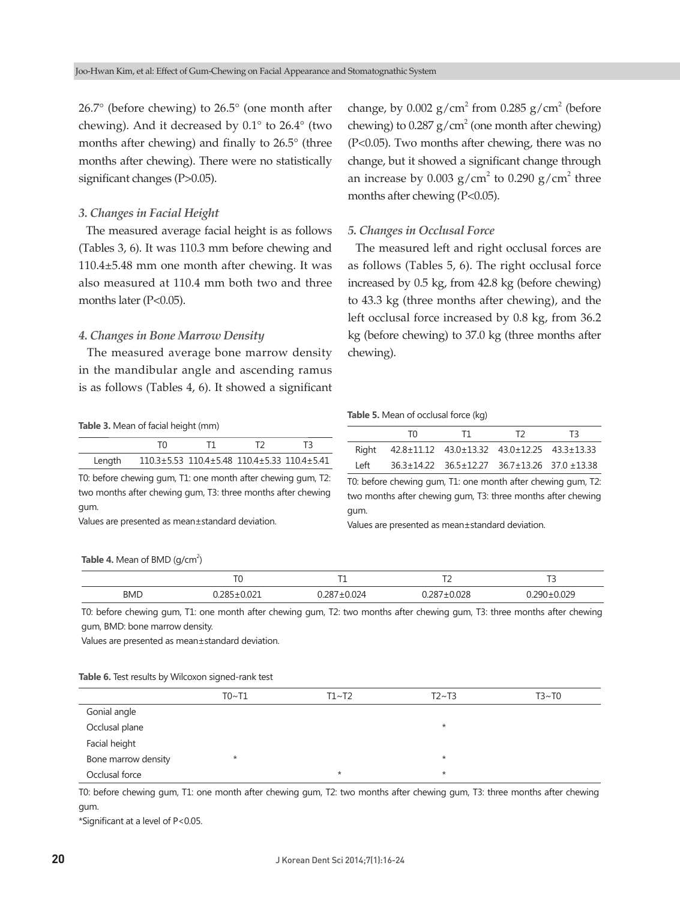26.7° (before chewing) to 26.5° (one month after chewing). And it decreased by 0.1° to 26.4° (two months after chewing) and finally to 26.5° (three months after chewing). There were no statistically significant changes (P>0.05).

## *3. Changes in Facial Height*

 The measured average facial height is as follows (Tables 3, 6). It was 110.3 mm before chewing and 110.4±5.48 mm one month after chewing. It was also measured at 110.4 mm both two and three months later (P<0.05).

#### *4. Changes in Bone Marrow Density*

 The measured average bone marrow density in the mandibular angle and ascending ramus is as follows (Tables 4, 6). It showed a significant

**Table 3.** Mean of facial height (mm)

| Lenath | 110.3±5.53 110.4±5.48 110.4±5.33 110.4±5.41 |  |  |
|--------|---------------------------------------------|--|--|

T0: before chewing gum, T1: one month after chewing gum, T2: two months after chewing gum, T3: three months after chewing gum.

Values are presented as mean±standard deviation.

# change, by  $0.002$  g/cm<sup>2</sup> from  $0.285$  g/cm<sup>2</sup> (before chewing) to  $0.287$  g/cm<sup>2</sup> (one month after chewing) (P<0.05). Two months after chewing, there was no change, but it showed a significant change through an increase by 0.003  $g/cm^2$  to 0.290  $g/cm^2$  three months after chewing (P<0.05).

#### *5. Changes in Occlusal Force*

 The measured left and right occlusal forces are as follows (Tables 5, 6). The right occlusal force increased by 0.5 kg, from 42.8 kg (before chewing) to 43.3 kg (three months after chewing), and the left occlusal force increased by 0.8 kg, from 36.2 kg (before chewing) to 37.0 kg (three months after chewing).

#### **Table 5.** Mean of occlusal force (kg)

|      | TN.                                               | T1.                                                                 | T2 | T3. |
|------|---------------------------------------------------|---------------------------------------------------------------------|----|-----|
|      | Right 42.8±11.12 43.0±13.32 43.0±12.25 43.3±13.33 |                                                                     |    |     |
| Left |                                                   | $36.3 \pm 14.22$ $36.5 \pm 12.27$ $36.7 \pm 13.26$ $37.0 \pm 13.38$ |    |     |

T0: before chewing gum, T1: one month after chewing gum, T2: two months after chewing gum, T3: three months after chewing gum.

Values are presented as mean±standard deviation.

#### **Table 4.** Mean of BMD  $(g/cm^2)$

|            | $\tau$ | ÷., | $\rightarrow$ | $\sim$ |
|------------|--------|-----|---------------|--------|
| <b>BMD</b> |        | .   | .<br>.        |        |

T0: before chewing gum, T1: one month after chewing gum, T2: two months after chewing gum, T3: three months after chewing gum, BMD: bone marrow density.

Values are presented as mean±standard deviation.

#### **Table 6.** Test results by Wilcoxon signed-rank test

|                     | T0~T1   | T1~T2   | T2~T3   | T3~T0 |
|---------------------|---------|---------|---------|-------|
| Gonial angle        |         |         |         |       |
| Occlusal plane      |         |         | $\star$ |       |
| Facial height       |         |         |         |       |
| Bone marrow density | $\star$ |         | $\star$ |       |
| Occlusal force      |         | $\star$ | $\star$ |       |

T0: before chewing gum, T1: one month after chewing gum, T2: two months after chewing gum, T3: three months after chewing gum.

\*Significant at a level of P<0.05.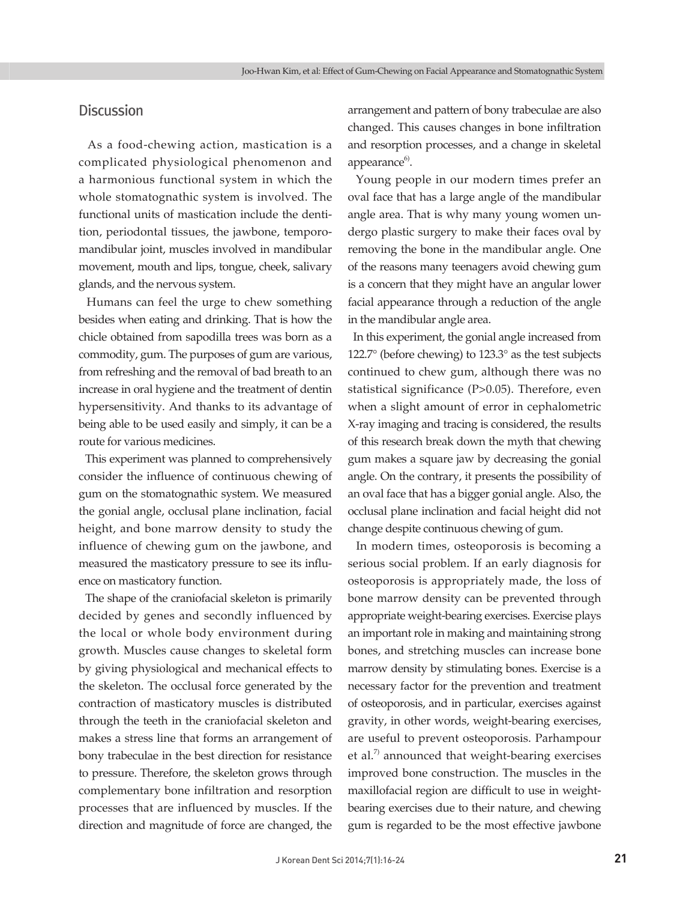# **Discussion**

 As a food-chewing action, mastication is a complicated physiological phenomenon and a harmonious functional system in which the whole stomatognathic system is involved. The functional units of mastication include the dentition, periodontal tissues, the jawbone, temporomandibular joint, muscles involved in mandibular movement, mouth and lips, tongue, cheek, salivary glands, and the nervous system.

 Humans can feel the urge to chew something besides when eating and drinking. That is how the chicle obtained from sapodilla trees was born as a commodity, gum. The purposes of gum are various, from refreshing and the removal of bad breath to an increase in oral hygiene and the treatment of dentin hypersensitivity. And thanks to its advantage of being able to be used easily and simply, it can be a route for various medicines.

 This experiment was planned to comprehensively consider the influence of continuous chewing of gum on the stomatognathic system. We measured the gonial angle, occlusal plane inclination, facial height, and bone marrow density to study the influence of chewing gum on the jawbone, and measured the masticatory pressure to see its influence on masticatory function.

 The shape of the craniofacial skeleton is primarily decided by genes and secondly influenced by the local or whole body environment during growth. Muscles cause changes to skeletal form by giving physiological and mechanical effects to the skeleton. The occlusal force generated by the contraction of masticatory muscles is distributed through the teeth in the craniofacial skeleton and makes a stress line that forms an arrangement of bony trabeculae in the best direction for resistance to pressure. Therefore, the skeleton grows through complementary bone infiltration and resorption processes that are influenced by muscles. If the direction and magnitude of force are changed, the

arrangement and pattern of bony trabeculae are also changed. This causes changes in bone infiltration and resorption processes, and a change in skeletal appearance<sup>6)</sup>.

 Young people in our modern times prefer an oval face that has a large angle of the mandibular angle area. That is why many young women undergo plastic surgery to make their faces oval by removing the bone in the mandibular angle. One of the reasons many teenagers avoid chewing gum is a concern that they might have an angular lower facial appearance through a reduction of the angle in the mandibular angle area.

 In this experiment, the gonial angle increased from 122.7° (before chewing) to 123.3° as the test subjects continued to chew gum, although there was no statistical significance (P>0.05). Therefore, even when a slight amount of error in cephalometric X-ray imaging and tracing is considered, the results of this research break down the myth that chewing gum makes a square jaw by decreasing the gonial angle. On the contrary, it presents the possibility of an oval face that has a bigger gonial angle. Also, the occlusal plane inclination and facial height did not change despite continuous chewing of gum.

 In modern times, osteoporosis is becoming a serious social problem. If an early diagnosis for osteoporosis is appropriately made, the loss of bone marrow density can be prevented through appropriate weight-bearing exercises. Exercise plays an important role in making and maintaining strong bones, and stretching muscles can increase bone marrow density by stimulating bones. Exercise is a necessary factor for the prevention and treatment of osteoporosis, and in particular, exercises against gravity, in other words, weight-bearing exercises, are useful to prevent osteoporosis. Parhampour et al. $7$  announced that weight-bearing exercises improved bone construction. The muscles in the maxillofacial region are difficult to use in weightbearing exercises due to their nature, and chewing gum is regarded to be the most effective jawbone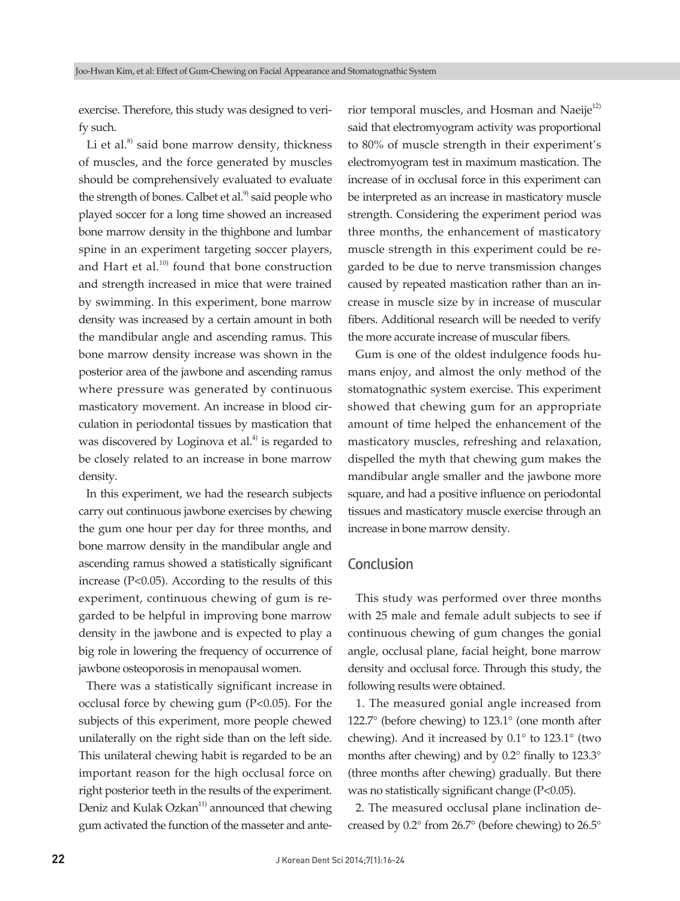exercise. Therefore, this study was designed to verify such.

Li et al. $^{8}$  said bone marrow density, thickness of muscles, and the force generated by muscles should be comprehensively evaluated to evaluate the strength of bones. Calbet et al. $9$  said people who played soccer for a long time showed an increased bone marrow density in the thighbone and lumbar spine in an experiment targeting soccer players, and Hart et al. $10)$  found that bone construction and strength increased in mice that were trained by swimming. In this experiment, bone marrow density was increased by a certain amount in both the mandibular angle and ascending ramus. This bone marrow density increase was shown in the posterior area of the jawbone and ascending ramus where pressure was generated by continuous masticatory movement. An increase in blood circulation in periodontal tissues by mastication that was discovered by Loginova et al.<sup> $4)$ </sup> is regarded to be closely related to an increase in bone marrow density.

 In this experiment, we had the research subjects carry out continuous jawbone exercises by chewing the gum one hour per day for three months, and bone marrow density in the mandibular angle and ascending ramus showed a statistically significant increase (P<0.05). According to the results of this experiment, continuous chewing of gum is regarded to be helpful in improving bone marrow density in the jawbone and is expected to play a big role in lowering the frequency of occurrence of jawbone osteoporosis in menopausal women.

 There was a statistically significant increase in occlusal force by chewing gum  $(P<0.05)$ . For the subjects of this experiment, more people chewed unilaterally on the right side than on the left side. This unilateral chewing habit is regarded to be an important reason for the high occlusal force on right posterior teeth in the results of the experiment. Deniz and Kulak Ozkan $11$ <sup>11</sup> announced that chewing gum activated the function of the masseter and ante-

rior temporal muscles, and Hosman and Naeije<sup>12)</sup> said that electromyogram activity was proportional to 80% of muscle strength in their experiment's electromyogram test in maximum mastication. The increase of in occlusal force in this experiment can be interpreted as an increase in masticatory muscle strength. Considering the experiment period was three months, the enhancement of masticatory muscle strength in this experiment could be regarded to be due to nerve transmission changes caused by repeated mastication rather than an increase in muscle size by in increase of muscular fibers. Additional research will be needed to verify the more accurate increase of muscular fibers.

 Gum is one of the oldest indulgence foods humans enjoy, and almost the only method of the stomatognathic system exercise. This experiment showed that chewing gum for an appropriate amount of time helped the enhancement of the masticatory muscles, refreshing and relaxation, dispelled the myth that chewing gum makes the mandibular angle smaller and the jawbone more square, and had a positive influence on periodontal tissues and masticatory muscle exercise through an increase in bone marrow density.

# Conclusion

 This study was performed over three months with 25 male and female adult subjects to see if continuous chewing of gum changes the gonial angle, occlusal plane, facial height, bone marrow density and occlusal force. Through this study, the following results were obtained.

 1. The measured gonial angle increased from 122.7° (before chewing) to 123.1° (one month after chewing). And it increased by 0.1° to 123.1° (two months after chewing) and by  $0.2^\circ$  finally to  $123.3^\circ$ (three months after chewing) gradually. But there was no statistically significant change  $(P<0.05)$ .

 2. The measured occlusal plane inclination decreased by 0.2° from 26.7° (before chewing) to 26.5°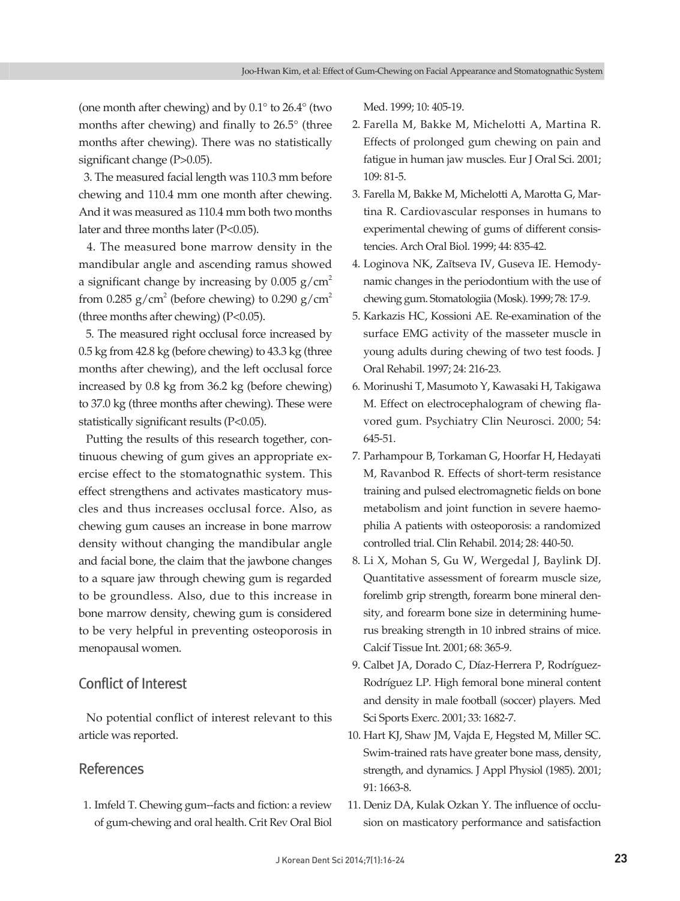(one month after chewing) and by 0.1° to 26.4° (two months after chewing) and finally to 26.5° (three months after chewing). There was no statistically significant change (P>0.05).

 3. The measured facial length was 110.3 mm before chewing and 110.4 mm one month after chewing. And it was measured as 110.4 mm both two months later and three months later (P<0.05).

 4. The measured bone marrow density in the mandibular angle and ascending ramus showed a significant change by increasing by  $0.005$  g/cm<sup>2</sup> from 0.285  $g/cm^2$  (before chewing) to 0.290  $g/cm^2$ (three months after chewing) (P<0.05).

 5. The measured right occlusal force increased by 0.5 kg from 42.8 kg (before chewing) to 43.3 kg (three months after chewing), and the left occlusal force increased by 0.8 kg from 36.2 kg (before chewing) to 37.0 kg (three months after chewing). These were statistically significant results  $(P<0.05)$ .

 Putting the results of this research together, continuous chewing of gum gives an appropriate exercise effect to the stomatognathic system. This effect strengthens and activates masticatory muscles and thus increases occlusal force. Also, as chewing gum causes an increase in bone marrow density without changing the mandibular angle and facial bone, the claim that the jawbone changes to a square jaw through chewing gum is regarded to be groundless. Also, due to this increase in bone marrow density, chewing gum is considered to be very helpful in preventing osteoporosis in menopausal women.

# Conflict of Interest

 No potential conflict of interest relevant to this article was reported.

# References

1. Imfeld T. Chewing gum--facts and fiction: a review of gum-chewing and oral health. Crit Rev Oral Biol Med. 1999; 10: 405-19.

- 2. Farella M, Bakke M, Michelotti A, Martina R. Effects of prolonged gum chewing on pain and fatigue in human jaw muscles. Eur J Oral Sci. 2001; 109: 81-5.
- 3. Farella M, Bakke M, Michelotti A, Marotta G, Martina R. Cardiovascular responses in humans to ex perimental chewing of gums of different consistencies. Arch Oral Biol. 1999; 44: 835-42.
- 4. Loginova NK, Zaĭtseva IV, Guseva IE. Hemodynamic changes in the periodontium with the use of chewing gum. Stomatologiia (Mosk). 1999; 78: 17-9.
- 5. Karkazis HC, Kossioni AE. Re-examination of the surface EMG activity of the masseter muscle in young adults during chewing of two test foods. J Oral Rehabil. 1997; 24: 216-23.
- 6. Morinushi T, Masumoto Y, Kawasaki H, Takigawa M. Effect on electrocephalogram of chewing flavored gum. Psychiatry Clin Neurosci. 2000; 54: 645-51.
- 7. Parhampour B, Torkaman G, Hoorfar H, Hedayati M, Ravanbod R. Effects of short-term resistance training and pulsed electromagnetic fields on bone metabolism and joint function in severe haemophilia A patients with osteoporosis: a randomized controlled trial. Clin Rehabil. 2014; 28: 440-50.
- 8. Li X, Mohan S, Gu W, Wergedal J, Baylink DJ. Quantitative assessment of forearm muscle size, forelimb grip strength, forearm bone mineral density, and forearm bone size in determining humerus breaking strength in 10 inbred strains of mice. Calcif Tissue Int. 2001; 68: 365-9.
- 9. Calbet JA, Dorado C, Díaz-Herrera P, Rodríguez-Rodríguez LP. High femoral bone mineral content and density in male football (soccer) players. Med Sci Sports Exerc. 2001; 33: 1682-7.
- 10. Hart KJ, Shaw JM, Vajda E, Hegsted M, Miller SC. Swim-trained rats have greater bone mass, density, strength, and dynamics. J Appl Physiol (1985). 2001; 91: 1663-8.
- 11. Deniz DA, Kulak Ozkan Y. The influence of occlusion on masticatory performance and satisfaction